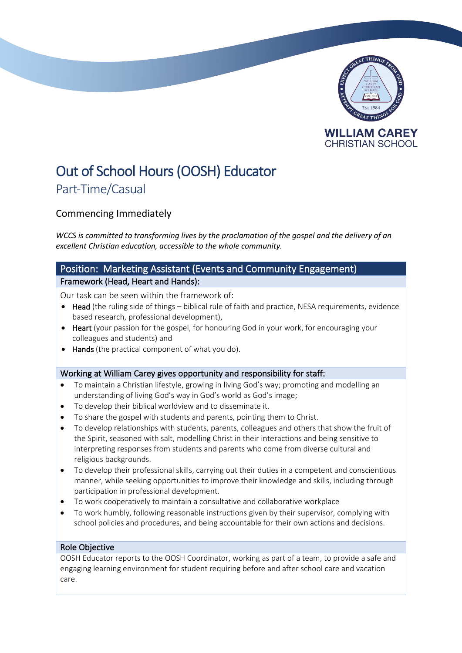

# Out of School Hours (OOSH) Educator

# Part-Time/Casual

# Commencing Immediately

*WCCS is committed to transforming lives by the proclamation of the gospel and the delivery of an excellent Christian education, accessible to the whole community.*

## Position: Marketing Assistant (Events and Community Engagement) Framework (Head, Heart and Hands):

Our task can be seen within the framework of:

- Head (the ruling side of things biblical rule of faith and practice, NESA requirements, evidence based research, professional development),
- Heart (your passion for the gospel, for honouring God in your work, for encouraging your colleagues and students) and
- Hands (the practical component of what you do).

### Working at William Carey gives opportunity and responsibility for staff:

- To maintain a Christian lifestyle, growing in living God's way; promoting and modelling an understanding of living God's way in God's world as God's image;
- To develop their biblical worldview and to disseminate it.
- To share the gospel with students and parents, pointing them to Christ.
- To develop relationships with students, parents, colleagues and others that show the fruit of the Spirit, seasoned with salt, modelling Christ in their interactions and being sensitive to interpreting responses from students and parents who come from diverse cultural and religious backgrounds.
- To develop their professional skills, carrying out their duties in a competent and conscientious manner, while seeking opportunities to improve their knowledge and skills, including through participation in professional development.
- To work cooperatively to maintain a consultative and collaborative workplace
- To work humbly, following reasonable instructions given by their supervisor, complying with school policies and procedures, and being accountable for their own actions and decisions.

### Role Objective

OOSH Educator reports to the OOSH Coordinator, working as part of a team, to provide a safe and engaging learning environment for student requiring before and after school care and vacation care.